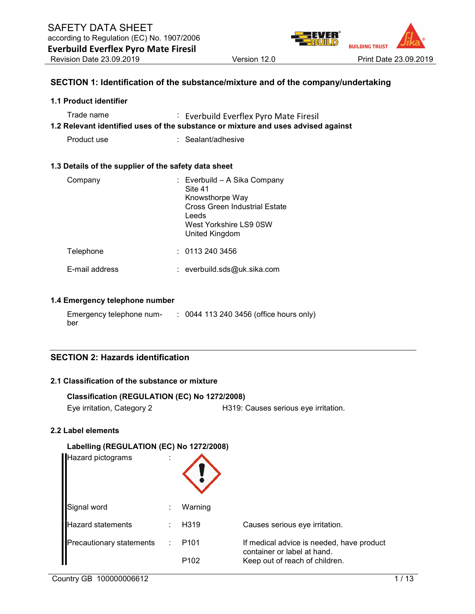

### SECTION 1: Identification of the substance/mixture and of the company/undertaking

#### 1.1 Product identifier

| Trade name | : Everbuild Everflex Pyro Mate Firesil                                            |
|------------|-----------------------------------------------------------------------------------|
|            | 1.2 Relevant identified uses of the substance or mixture and uses advised against |

Product use : Sealant/adhesive

#### 1.3 Details of the supplier of the safety data sheet

| Company        | : Everbuild - A Sika Company<br>Site 41<br>Knowsthorpe Way<br><b>Cross Green Industrial Estate</b><br>Leeds<br>West Yorkshire LS9 0SW<br>United Kingdom |
|----------------|---------------------------------------------------------------------------------------------------------------------------------------------------------|
| Telephone      | : 01132403456                                                                                                                                           |
| E-mail address | $:$ everbuild.sds@uk.sika.com                                                                                                                           |

#### 1.4 Emergency telephone number

| Emergency telephone num- | : 0044 113 240 3456 (office hours only) |
|--------------------------|-----------------------------------------|
| ber                      |                                         |

# SECTION 2: Hazards identification

# 2.1 Classification of the substance or mixture

| Classification (REGULATION (EC) No 1272/2008) |                                      |
|-----------------------------------------------|--------------------------------------|
| Eye irritation, Category 2                    | H319: Causes serious eye irritation. |

#### 2.2 Label elements

#### Labelling (REGULATION (EC) No 1272/2008)

| Hazard pictograms               |                           |                   |                                                                          |
|---------------------------------|---------------------------|-------------------|--------------------------------------------------------------------------|
| Signal word                     |                           | Warning           |                                                                          |
| <b>Hazard statements</b>        |                           | H <sub>3</sub> 19 | Causes serious eye irritation.                                           |
| <b>Precautionary statements</b> | $\mathbb{R}^{\mathbb{Z}}$ | P <sub>101</sub>  | If medical advice is needed, have product<br>container or label at hand. |
|                                 |                           | P <sub>102</sub>  | Keep out of reach of children.                                           |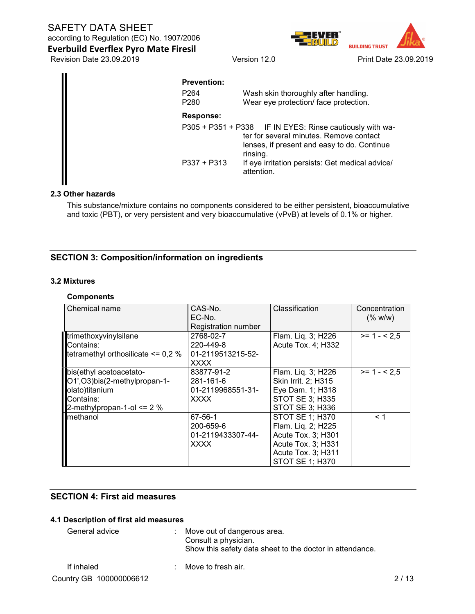according to Regulation (EC) No. 1907/2006 Everbuild Everflex Pyro Mate Firesil

Revision Date 23.09.2019 Version 12.0 Print Date 23.09.2019

**BUILDING TRUST** 

| <b>Prevention:</b>                                                                                                                                             |
|----------------------------------------------------------------------------------------------------------------------------------------------------------------|
| Wash skin thoroughly after handling.<br>P <sub>264</sub><br>Wear eye protection/ face protection.<br>P <sub>280</sub>                                          |
| Response:                                                                                                                                                      |
| P305 + P351 + P338 IF IN EYES: Rinse cautiously with wa-<br>ter for several minutes. Remove contact<br>lenses, if present and easy to do. Continue<br>rinsing. |
| $P337 + P313$<br>If eye irritation persists: Get medical advice/<br>attention.                                                                                 |

#### 2.3 Other hazards

This substance/mixture contains no components considered to be either persistent, bioaccumulative and toxic (PBT), or very persistent and very bioaccumulative (vPvB) at levels of 0.1% or higher.

# SECTION 3: Composition/information on ingredients

#### 3.2 Mixtures

#### **Components**

| Chemical name                          | CAS-No.             | Classification         | Concentration |
|----------------------------------------|---------------------|------------------------|---------------|
|                                        | EC-No.              |                        | (% w/w)       |
|                                        | Registration number |                        |               |
| <b>Internethoxyvinylsilane</b>         | 2768-02-7           | Flam. Liq. 3; H226     | $>= 1 - 2.5$  |
| Contains:                              | 220-449-8           | Acute Tox. 4; H332     |               |
| tetramethyl orthosilicate $\leq 0.2$ % | 01-2119513215-52-   |                        |               |
|                                        | <b>XXXX</b>         |                        |               |
| bis(ethyl acetoacetato-                | 83877-91-2          | Flam. Liq. 3; H226     | $>= 1 - 2.5$  |
| O1',O3)bis(2-methylpropan-1-           | 281-161-6           | Skin Irrit. 2; H315    |               |
| olato)titanium                         | 01-2119968551-31-   | Eye Dam. 1; H318       |               |
| Contains:                              | <b>XXXX</b>         | <b>STOT SE 3; H335</b> |               |
| $2$ -methylpropan-1-ol <= 2 %          |                     | <b>STOT SE 3; H336</b> |               |
| <b>I</b> methanol                      | 67-56-1             | <b>STOT SE 1; H370</b> | < 1           |
|                                        | 200-659-6           | Flam. Liq. 2; H225     |               |
|                                        | 01-2119433307-44-   | Acute Tox. 3; H301     |               |
|                                        | <b>XXXX</b>         | Acute Tox. 3; H331     |               |
|                                        |                     | Acute Tox. 3; H311     |               |
|                                        |                     | <b>STOT SE 1: H370</b> |               |

# SECTION 4: First aid measures

#### 4.1 Description of first aid measures

| General advice | $\therefore$ Move out of dangerous area.<br>Consult a physician.<br>Show this safety data sheet to the doctor in attendance. |
|----------------|------------------------------------------------------------------------------------------------------------------------------|
| If inhaled     | $\therefore$ Move to fresh air.                                                                                              |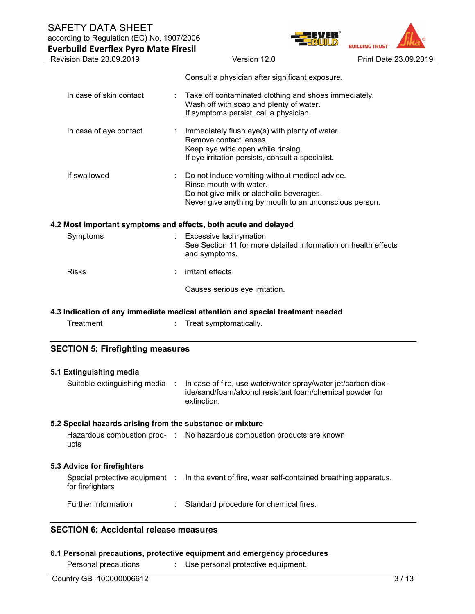according to Regulation (EC) No. 1907/2006

| <b>Everbuild Everflex Pyro Mate Firesil</b>                                                                                             |                                                                                                                                                                                 | <b>BUILDING TRUST</b> |
|-----------------------------------------------------------------------------------------------------------------------------------------|---------------------------------------------------------------------------------------------------------------------------------------------------------------------------------|-----------------------|
| Revision Date 23.09.2019                                                                                                                | Version 12.0                                                                                                                                                                    | Print Date 23.09.2019 |
|                                                                                                                                         | Consult a physician after significant exposure.                                                                                                                                 |                       |
| In case of skin contact                                                                                                                 | Take off contaminated clothing and shoes immediately.<br>Wash off with soap and plenty of water.<br>If symptoms persist, call a physician.                                      |                       |
| In case of eye contact                                                                                                                  | Immediately flush eye(s) with plenty of water.<br>Remove contact lenses.<br>Keep eye wide open while rinsing.<br>If eye irritation persists, consult a specialist.              |                       |
| If swallowed                                                                                                                            | Do not induce vomiting without medical advice.<br>Rinse mouth with water.<br>Do not give milk or alcoholic beverages.<br>Never give anything by mouth to an unconscious person. |                       |
| 4.2 Most important symptoms and effects, both acute and delayed                                                                         |                                                                                                                                                                                 |                       |
| Symptoms                                                                                                                                | Excessive lachrymation<br>See Section 11 for more detailed information on health effects<br>and symptoms.                                                                       |                       |
| <b>Risks</b>                                                                                                                            | irritant effects                                                                                                                                                                |                       |
|                                                                                                                                         | Causes serious eye irritation.                                                                                                                                                  |                       |
|                                                                                                                                         | 4.3 Indication of any immediate medical attention and special treatment needed                                                                                                  |                       |
| Treatment                                                                                                                               | Treat symptomatically.                                                                                                                                                          |                       |
| <b>SECTION 5: Firefighting measures</b>                                                                                                 |                                                                                                                                                                                 |                       |
|                                                                                                                                         |                                                                                                                                                                                 |                       |
|                                                                                                                                         |                                                                                                                                                                                 |                       |
| Suitable extinguishing media                                                                                                            | In case of fire, use water/water spray/water jet/carbon diox-<br>ide/sand/foam/alcohol resistant foam/chemical powder for<br>extinction.                                        |                       |
|                                                                                                                                         |                                                                                                                                                                                 |                       |
| ucts                                                                                                                                    | Hazardous combustion prod- : No hazardous combustion products are known                                                                                                         |                       |
|                                                                                                                                         |                                                                                                                                                                                 |                       |
| 5.1 Extinguishing media<br>5.2 Special hazards arising from the substance or mixture<br>5.3 Advice for firefighters<br>for firefighters | Special protective equipment : In the event of fire, wear self-contained breathing apparatus.                                                                                   |                       |

# SECTION 6: Accidental release measures

# 6.1 Personal precautions, protective equipment and emergency procedures

Personal precautions : Use personal protective equipment.

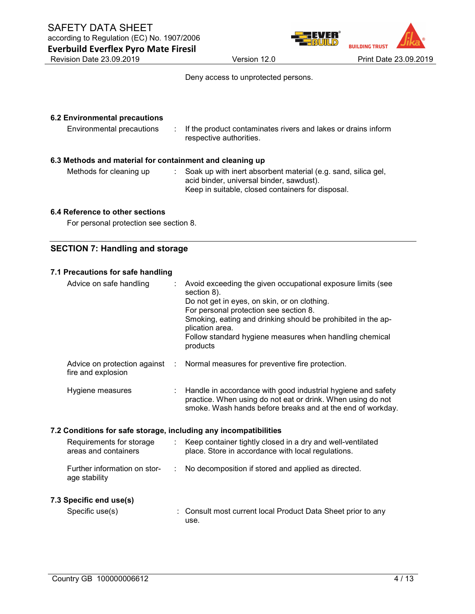

Deny access to unprotected persons.

# 6.2 Environmental precautions Environmental precautions : If the product contaminates rivers and lakes or drains inform respective authorities. 6.3 Methods and material for containment and cleaning up Methods for cleaning up : Soak up with inert absorbent material (e.g. sand, silica gel, acid binder, universal binder, sawdust). Keep in suitable, closed containers for disposal.

#### 6.4 Reference to other sections

For personal protection see section 8.

# SECTION 7: Handling and storage

#### 7.1 Precautions for safe handling

| Advice on safe handling                                                            | Avoid exceeding the given occupational exposure limits (see<br>section 8).<br>Do not get in eyes, on skin, or on clothing.<br>For personal protection see section 8.<br>Smoking, eating and drinking should be prohibited in the ap-<br>plication area.<br>Follow standard hygiene measures when handling chemical<br>products |
|------------------------------------------------------------------------------------|--------------------------------------------------------------------------------------------------------------------------------------------------------------------------------------------------------------------------------------------------------------------------------------------------------------------------------|
| Advice on protection against<br>$\mathcal{L}_{\mathrm{eff}}$<br>fire and explosion | Normal measures for preventive fire protection.                                                                                                                                                                                                                                                                                |
| Hygiene measures<br>÷                                                              | Handle in accordance with good industrial hygiene and safety<br>practice. When using do not eat or drink. When using do not<br>smoke. Wash hands before breaks and at the end of workday.                                                                                                                                      |
| 7.2 Conditions for safe storage, including any incompatibilities                   |                                                                                                                                                                                                                                                                                                                                |
| Requirements for storage<br>areas and containers                                   | : Keep container tightly closed in a dry and well-ventilated<br>place. Store in accordance with local regulations.                                                                                                                                                                                                             |
| Further information on stor-<br>÷<br>age stability                                 | No decomposition if stored and applied as directed.                                                                                                                                                                                                                                                                            |
| 7.3 Specific end use(s)                                                            |                                                                                                                                                                                                                                                                                                                                |
| Specific use(s)                                                                    | Consult most current local Product Data Sheet prior to any                                                                                                                                                                                                                                                                     |

use.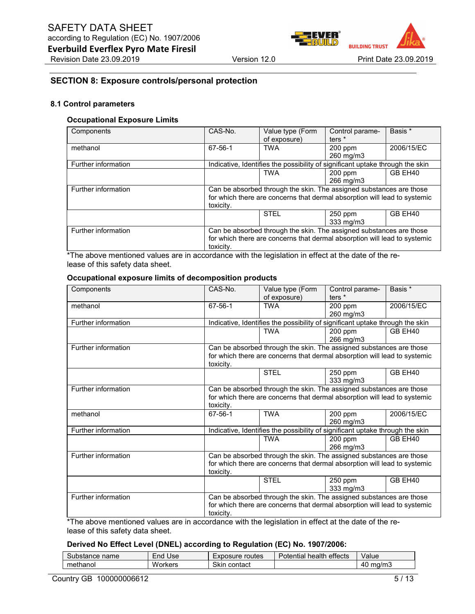

#### SECTION 8: Exposure controls/personal protection

#### 8.1 Control parameters

#### Occupational Exposure Limits

| Components          | CAS-No.                                                                       | Value type (Form | Control parame- | Basis *    |
|---------------------|-------------------------------------------------------------------------------|------------------|-----------------|------------|
|                     |                                                                               | of exposure)     | ters $*$        |            |
| methanol            | 67-56-1                                                                       | <b>TWA</b>       | 200 ppm         | 2006/15/EC |
|                     |                                                                               |                  | 260 mg/m3       |            |
| Further information | Indicative, Identifies the possibility of significant uptake through the skin |                  |                 |            |
|                     |                                                                               | <b>TWA</b>       | $200$ ppm       | GB EH40    |
|                     |                                                                               |                  | 266 mg/m3       |            |
| Further information | Can be absorbed through the skin. The assigned substances are those           |                  |                 |            |
|                     | for which there are concerns that dermal absorption will lead to systemic     |                  |                 |            |
|                     | toxicity.                                                                     |                  |                 |            |
|                     |                                                                               | <b>STEL</b>      | 250 ppm         | GB EH40    |
|                     |                                                                               |                  | 333 mg/m3       |            |
| Further information | Can be absorbed through the skin. The assigned substances are those           |                  |                 |            |
|                     | for which there are concerns that dermal absorption will lead to systemic     |                  |                 |            |
|                     | toxicity.                                                                     |                  |                 |            |
|                     |                                                                               | .                | $\sim$ $\sim$   |            |

\*The above mentioned values are in accordance with the legislation in effect at the date of the release of this safety data sheet.

| Occupational exposure limits of decomposition products |
|--------------------------------------------------------|
|--------------------------------------------------------|

| Components                                                                                          | CAS-No.   | Value type (Form                                                              | Control parame-   | Basis *    |
|-----------------------------------------------------------------------------------------------------|-----------|-------------------------------------------------------------------------------|-------------------|------------|
|                                                                                                     |           | of exposure)                                                                  | ters <sup>*</sup> |            |
| methanol                                                                                            | 67-56-1   | <b>TWA</b>                                                                    | 200 ppm           | 2006/15/EC |
|                                                                                                     |           |                                                                               | 260 mg/m3         |            |
| Further information                                                                                 |           | Indicative, Identifies the possibility of significant uptake through the skin |                   |            |
|                                                                                                     |           | <b>TWA</b>                                                                    | $200$ ppm         | GB EH40    |
|                                                                                                     |           |                                                                               | 266 mg/m3         |            |
| Further information                                                                                 |           | Can be absorbed through the skin. The assigned substances are those           |                   |            |
|                                                                                                     |           | for which there are concerns that dermal absorption will lead to systemic     |                   |            |
|                                                                                                     | toxicity. |                                                                               |                   |            |
|                                                                                                     |           | <b>STEL</b>                                                                   | 250 ppm           | GB EH40    |
|                                                                                                     |           |                                                                               | 333 mg/m3         |            |
| Further information                                                                                 |           | Can be absorbed through the skin. The assigned substances are those           |                   |            |
|                                                                                                     |           | for which there are concerns that dermal absorption will lead to systemic     |                   |            |
|                                                                                                     | toxicity. |                                                                               |                   |            |
| methanol                                                                                            | 67-56-1   | <b>TWA</b>                                                                    | 200 ppm           | 2006/15/EC |
|                                                                                                     |           |                                                                               | 260 mg/m3         |            |
| Further information                                                                                 |           | Indicative, Identifies the possibility of significant uptake through the skin |                   |            |
|                                                                                                     |           | <b>TWA</b>                                                                    | 200 ppm           | GB EH40    |
|                                                                                                     |           |                                                                               | 266 mg/m3         |            |
| Further information                                                                                 |           | Can be absorbed through the skin. The assigned substances are those           |                   |            |
|                                                                                                     |           | for which there are concerns that dermal absorption will lead to systemic     |                   |            |
|                                                                                                     | toxicity. |                                                                               |                   |            |
|                                                                                                     |           | <b>STEL</b>                                                                   | 250 ppm           | GB EH40    |
|                                                                                                     |           |                                                                               | 333 mg/m3         |            |
| Further information                                                                                 |           | Can be absorbed through the skin. The assigned substances are those           |                   |            |
|                                                                                                     |           | for which there are concerns that dermal absorption will lead to systemic     |                   |            |
|                                                                                                     | toxicity. |                                                                               |                   |            |
| . The above mentioned values are in accordance with the legislation in effect at the date of the re |           |                                                                               |                   |            |

The above mentioned values are in accordance with the legislation in effect at the date of the release of this safety data sheet.

#### Derived No Effect Level (DNEL) according to Regulation (EC) No. 1907/2006:

| name<br>"Substance ∗ | '−nd<br>Use   | routes<br>Exposure | <br>health<br>Potential<br>effects | Value         |
|----------------------|---------------|--------------------|------------------------------------|---------------|
| methanol             | w.<br>'orkers | Skin<br>contact    |                                    | `ma/mသ<br>4 U |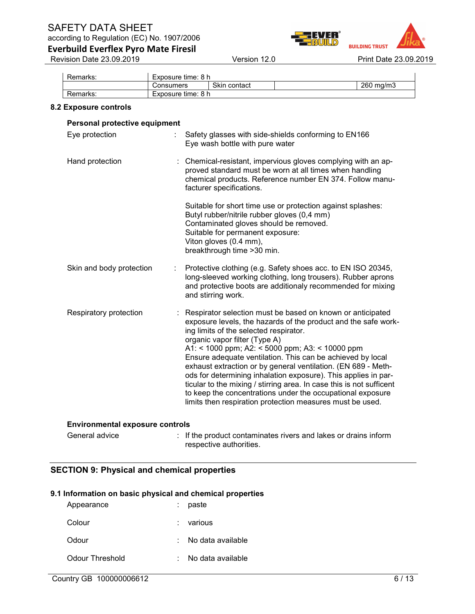according to Regulation (EC) No. 1907/2006

**BUILDING TRUST** 

Everbuild Everflex Pyro Mate Firesil Revision Date 23.09.2019 Version 12.0 Print Date 23.09.2019

| Remarks: | Exposure time: 8 h |              |              |
|----------|--------------------|--------------|--------------|
|          | Consumers          | Skin contact | 260<br>ma/m3 |
| Remarks: | Exposure time: 8 h |              |              |

#### 8.2 Exposure controls

| Personal protective equipment |                                                                                                                                                                                                                                                                                                                                                                                                                                                                                                                                                                                                                                                                  |
|-------------------------------|------------------------------------------------------------------------------------------------------------------------------------------------------------------------------------------------------------------------------------------------------------------------------------------------------------------------------------------------------------------------------------------------------------------------------------------------------------------------------------------------------------------------------------------------------------------------------------------------------------------------------------------------------------------|
| Eye protection<br>÷           | Safety glasses with side-shields conforming to EN166<br>Eye wash bottle with pure water                                                                                                                                                                                                                                                                                                                                                                                                                                                                                                                                                                          |
| Hand protection               | Chemical-resistant, impervious gloves complying with an ap-<br>proved standard must be worn at all times when handling<br>chemical products. Reference number EN 374. Follow manu-<br>facturer specifications.                                                                                                                                                                                                                                                                                                                                                                                                                                                   |
|                               | Suitable for short time use or protection against splashes:<br>Butyl rubber/nitrile rubber gloves (0,4 mm)<br>Contaminated gloves should be removed.<br>Suitable for permanent exposure:<br>Viton gloves (0.4 mm),<br>breakthrough time > 30 min.                                                                                                                                                                                                                                                                                                                                                                                                                |
| Skin and body protection      | Protective clothing (e.g. Safety shoes acc. to EN ISO 20345,<br>long-sleeved working clothing, long trousers). Rubber aprons<br>and protective boots are additionaly recommended for mixing<br>and stirring work.                                                                                                                                                                                                                                                                                                                                                                                                                                                |
| Respiratory protection        | : Respirator selection must be based on known or anticipated<br>exposure levels, the hazards of the product and the safe work-<br>ing limits of the selected respirator.<br>organic vapor filter (Type A)<br>A1: < 1000 ppm; A2: < 5000 ppm; A3: < 10000 ppm<br>Ensure adequate ventilation. This can be achieved by local<br>exhaust extraction or by general ventilation. (EN 689 - Meth-<br>ods for determining inhalation exposure). This applies in par-<br>ticular to the mixing / stirring area. In case this is not sufficent<br>to keep the concentrations under the occupational exposure<br>limits then respiration protection measures must be used. |

#### Environmental exposure controls

General advice : If the product contaminates rivers and lakes or drains inform respective authorities.

# SECTION 9: Physical and chemical properties

#### 9.1 Information on basic physical and chemical properties

| Appearance      | paste             |
|-----------------|-------------------|
| Colour          | : various         |
| Odour           | No data available |
| Odour Threshold | No data available |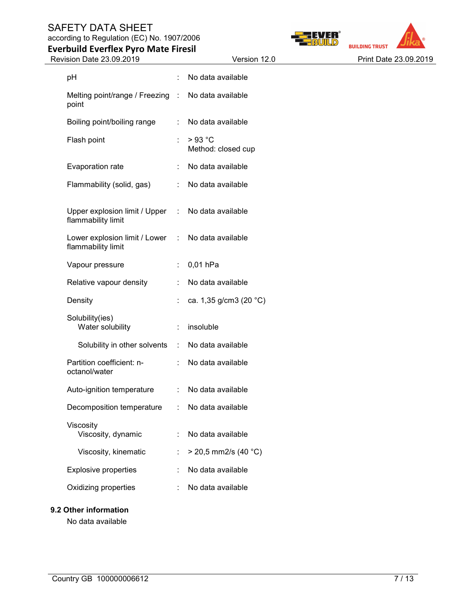according to Regulation (EC) No. 1907/2006 Everbuild Everflex Pyro Mate Firesil





| Revision Date 23.09.2019                              |            | Version 12.0                 | Print Date 23.09.2019 |
|-------------------------------------------------------|------------|------------------------------|-----------------------|
| pH                                                    |            | No data available            |                       |
| Melting point/range / Freezing :<br>point             |            | No data available            |                       |
| Boiling point/boiling range                           | ÷          | No data available            |                       |
| Flash point                                           |            | >93 °C<br>Method: closed cup |                       |
| Evaporation rate                                      |            | No data available            |                       |
| Flammability (solid, gas)                             | ÷          | No data available            |                       |
| Upper explosion limit / Upper<br>flammability limit   | $\sim 100$ | No data available            |                       |
| Lower explosion limit / Lower :<br>flammability limit |            | No data available            |                       |
| Vapour pressure                                       | ÷.         | 0,01 hPa                     |                       |
| Relative vapour density                               |            | No data available            |                       |
| Density                                               |            | ca. 1,35 g/cm3 (20 °C)       |                       |
| Solubility(ies)<br>Water solubility                   | ÷          | insoluble                    |                       |
| Solubility in other solvents                          | $\pm$      | No data available            |                       |
| Partition coefficient: n-<br>octanol/water            |            | No data available            |                       |
| Auto-ignition temperature                             | ÷          | No data available            |                       |
| Decomposition temperature                             |            | No data available            |                       |
| Viscosity<br>Viscosity, dynamic                       |            | No data available            |                       |
| Viscosity, kinematic                                  |            | $>$ 20,5 mm2/s (40 °C)       |                       |
| <b>Explosive properties</b>                           |            | No data available            |                       |
| Oxidizing properties                                  |            | No data available            |                       |

# 9.2 Other information

No data available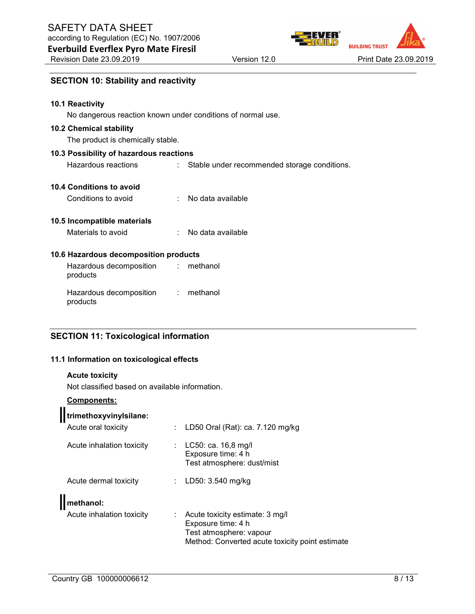SECTION 10: Stability and reactivity

Revision Date 23.09.2019 Version 12.0 Print Date 23.09.2019

**BUILDING TRUST** 

| and the contract of the contract of the contract of the contract of the contract of the contract of the contract of |  |  |
|---------------------------------------------------------------------------------------------------------------------|--|--|
|                                                                                                                     |  |  |
|                                                                                                                     |  |  |
|                                                                                                                     |  |  |
| ○ 1999年1月19日,1999年1月1日,1999年1月1日,1999年1月1日,1999年1月1日,1999年1月1日,1999年1月1日,1999年1月1                                   |  |  |
|                                                                                                                     |  |  |
|                                                                                                                     |  |  |
|                                                                                                                     |  |  |
|                                                                                                                     |  |  |
|                                                                                                                     |  |  |
|                                                                                                                     |  |  |

#### 10.1 Reactivity

No dangerous reaction known under conditions of normal use.

#### 10.2 Chemical stability

The product is chemically stable.

#### 10.3 Possibility of hazardous reactions

Hazardous reactions : Stable under recommended storage conditions.

#### 10.4 Conditions to avoid

| Conditions to avoid |  | No data available |
|---------------------|--|-------------------|
|---------------------|--|-------------------|

### 10.5 Incompatible materials

Materials to avoid : No data available

#### 10.6 Hazardous decomposition products

Hazardous decomposition products : methanol Hazardous decomposition products : methanol

# SECTION 11: Toxicological information

#### 11.1 Information on toxicological effects

#### Acute toxicity

Not classified based on available information.

### Components:

 $\mathbf{u}$ 

| trimethoxyvinylsilane:    |                                                                                                                                           |
|---------------------------|-------------------------------------------------------------------------------------------------------------------------------------------|
| Acute oral toxicity       | LD50 Oral (Rat): ca. 7.120 mg/kg                                                                                                          |
| Acute inhalation toxicity | LC50: ca. 16,8 mg/l<br>t.<br>Exposure time: 4 h<br>Test atmosphere: dust/mist                                                             |
| Acute dermal toxicity     | LD50: 3.540 mg/kg<br>÷.                                                                                                                   |
| <b>Methanol:</b>          |                                                                                                                                           |
| Acute inhalation toxicity | Acute toxicity estimate: 3 mg/l<br>÷.<br>Exposure time: 4 h<br>Test atmosphere: vapour<br>Method: Converted acute toxicity point estimate |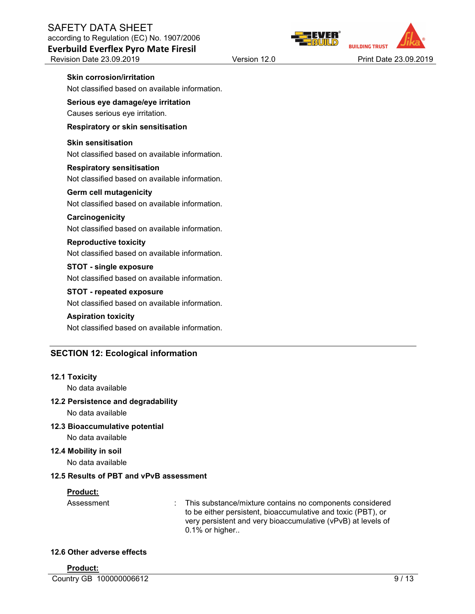Everbuild Everflex Pyro Mate Firesil

**BUILDING TRUST** 

Revision Date 23.09.2019 **Version 12.0** Print Date 23.09.2019

### Skin corrosion/irritation

Not classified based on available information.

### Serious eye damage/eye irritation Causes serious eye irritation.

#### Respiratory or skin sensitisation

#### Skin sensitisation Not classified based on available information.

### Respiratory sensitisation Not classified based on available information.

#### Germ cell mutagenicity

Not classified based on available information.

### **Carcinogenicity**

Not classified based on available information.

# Reproductive toxicity

Not classified based on available information.

# STOT - single exposure

Not classified based on available information.

### STOT - repeated exposure

Not classified based on available information.

### Aspiration toxicity

Not classified based on available information.

# SECTION 12: Ecological information

### 12.1 Toxicity

No data available

### 12.2 Persistence and degradability

No data available

# 12.3 Bioaccumulative potential

No data available

### 12.4 Mobility in soil

No data available

# 12.5 Results of PBT and vPvB assessment

### Product:

Assessment : This substance/mixture contains no components considered to be either persistent, bioaccumulative and toxic (PBT), or very persistent and very bioaccumulative (vPvB) at levels of 0.1% or higher..

### 12.6 Other adverse effects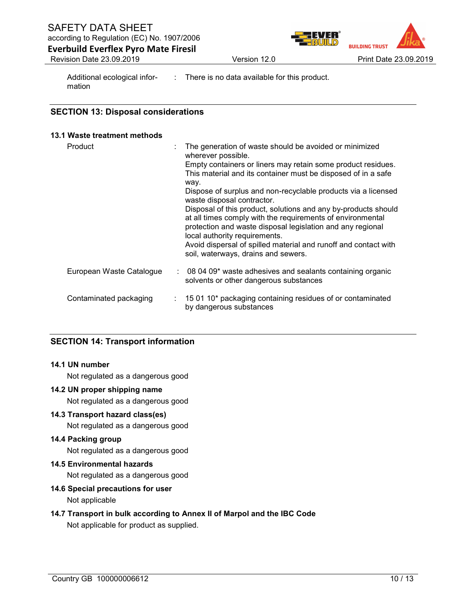**BUILDING TRUST** 

Everbuild Everflex Pyro Mate Firesil Revision Date 23.09.2019 **Version 12.0 Print Date 23.09.2019 Print Date 23.09.2019** 

Additional ecological information

: There is no data available for this product.

### SECTION 13: Disposal considerations

#### 13.1 Waste treatment methods

| Product                  | The generation of waste should be avoided or minimized<br>wherever possible.<br>Empty containers or liners may retain some product residues.<br>This material and its container must be disposed of in a safe<br>way.<br>Dispose of surplus and non-recyclable products via a licensed<br>waste disposal contractor.<br>Disposal of this product, solutions and any by-products should<br>at all times comply with the requirements of environmental<br>protection and waste disposal legislation and any regional<br>local authority requirements.<br>Avoid dispersal of spilled material and runoff and contact with<br>soil, waterways, drains and sewers. |
|--------------------------|---------------------------------------------------------------------------------------------------------------------------------------------------------------------------------------------------------------------------------------------------------------------------------------------------------------------------------------------------------------------------------------------------------------------------------------------------------------------------------------------------------------------------------------------------------------------------------------------------------------------------------------------------------------|
| European Waste Catalogue | 08 04 09* waste adhesives and sealants containing organic<br>solvents or other dangerous substances                                                                                                                                                                                                                                                                                                                                                                                                                                                                                                                                                           |
| Contaminated packaging   | $\pm$ 15 01 10 <sup>*</sup> packaging containing residues of or contaminated<br>by dangerous substances                                                                                                                                                                                                                                                                                                                                                                                                                                                                                                                                                       |

# SECTION 14: Transport information

### 14.1 UN number

Not regulated as a dangerous good

### 14.2 UN proper shipping name

Not regulated as a dangerous good

#### 14.3 Transport hazard class(es)

Not regulated as a dangerous good

### 14.4 Packing group

Not regulated as a dangerous good

### 14.5 Environmental hazards

Not regulated as a dangerous good

### 14.6 Special precautions for user

Not applicable

# 14.7 Transport in bulk according to Annex II of Marpol and the IBC Code

Not applicable for product as supplied.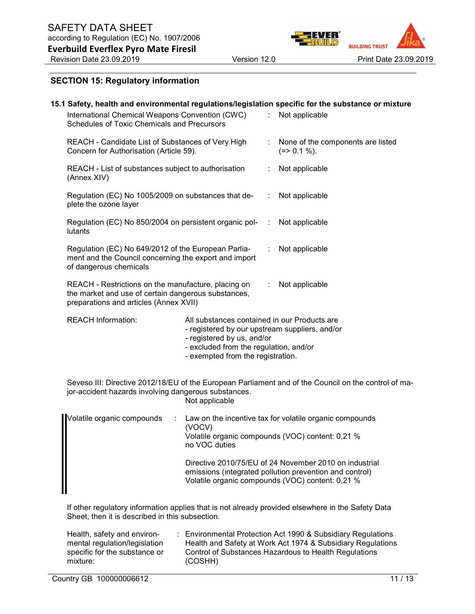

#### SECTION 15: Regulatory information

| International Chemical Weapons Convention (CWC)<br>Schedules of Toxic Chemicals and Precursors                                                       |                                                                                                                                                                                                             |   | 15.1 Safety, health and environmental regulations/legislation specific for the substance or mixture<br>Not applicable |
|------------------------------------------------------------------------------------------------------------------------------------------------------|-------------------------------------------------------------------------------------------------------------------------------------------------------------------------------------------------------------|---|-----------------------------------------------------------------------------------------------------------------------|
| REACH - Candidate List of Substances of Very High<br>Concern for Authorisation (Article 59).                                                         |                                                                                                                                                                                                             |   | None of the components are listed<br>$(=>0.1\%).$                                                                     |
| REACH - List of substances subject to authorisation<br>(Annex XIV)                                                                                   |                                                                                                                                                                                                             |   | Not applicable                                                                                                        |
| Regulation (EC) No 1005/2009 on substances that de-<br>plete the ozone layer                                                                         |                                                                                                                                                                                                             |   | Not applicable                                                                                                        |
| Regulation (EC) No 850/2004 on persistent organic pol-<br>lutants                                                                                    |                                                                                                                                                                                                             |   | Not applicable                                                                                                        |
| Regulation (EC) No 649/2012 of the European Parlia-<br>ment and the Council concerning the export and import<br>of dangerous chemicals               |                                                                                                                                                                                                             | ÷ | Not applicable                                                                                                        |
| REACH - Restrictions on the manufacture, placing on<br>the market and use of certain dangerous substances,<br>preparations and articles (Annex XVII) |                                                                                                                                                                                                             |   | Not applicable                                                                                                        |
| <b>REACH Information:</b>                                                                                                                            | All substances contained in our Products are<br>- registered by our upstream suppliers, and/or<br>- registered by us, and/or<br>- excluded from the regulation, and/or<br>- exempted from the registration. |   |                                                                                                                       |
| jor-accident hazards involving dangerous substances.                                                                                                 | Not applicable                                                                                                                                                                                              |   | Seveso III: Directive 2012/18/EU of the European Parliament and of the Council on the control of ma-                  |
| Volatile organic compounds<br>÷                                                                                                                      | (VOCV)<br>no VOC duties                                                                                                                                                                                     |   | Law on the incentive tax for volatile organic compounds<br>Volatile organic compounds (VOC) content: 0,21 %           |

Directive 2010/75/EU of 24 November 2010 on industrial emissions (integrated pollution prevention and control) Volatile organic compounds (VOC) content: 0,21 %

If other regulatory information applies that is not already provided elsewhere in the Safety Data Sheet, then it is described in this subsection.

| Health, safety and environ-   | : Environmental Protection Act 1990 & Subsidiary Regulations |
|-------------------------------|--------------------------------------------------------------|
| mental regulation/legislation | Health and Safety at Work Act 1974 & Subsidiary Regulations  |
| specific for the substance or | Control of Substances Hazardous to Health Regulations        |
| mixture:                      | (COSHH)                                                      |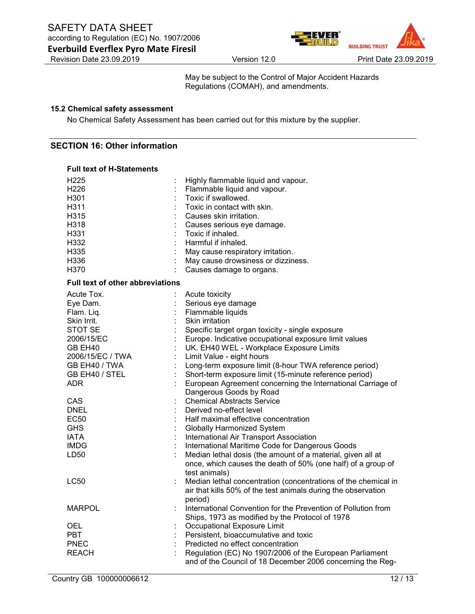

May be subject to the Control of Major Accident Hazards Regulations (COMAH), and amendments.

#### 15.2 Chemical safety assessment

No Chemical Safety Assessment has been carried out for this mixture by the supplier.

### SECTION 16: Other information

#### Full text of H-Statements

| H <sub>225</sub>                 | Highly flammable liquid and vapour.                            |
|----------------------------------|----------------------------------------------------------------|
| H <sub>226</sub>                 | Flammable liquid and vapour.                                   |
| H301                             | Toxic if swallowed.                                            |
| H311                             | Toxic in contact with skin.                                    |
| H315                             | Causes skin irritation.                                        |
| H318                             | Causes serious eye damage.                                     |
| H331                             | Toxic if inhaled.                                              |
| H332                             | Harmful if inhaled.                                            |
| H335                             | May cause respiratory irritation.                              |
| H336                             | May cause drowsiness or dizziness.                             |
| H370                             | Causes damage to organs.                                       |
| Full text of other abbreviations |                                                                |
| Acute Tox.                       | Acute toxicity                                                 |
| Eye Dam.                         | Serious eye damage                                             |
| Flam. Liq.                       | Flammable liquids                                              |
| Skin Irrit.                      | Skin irritation                                                |
| STOT SE                          | Specific target organ toxicity - single exposure               |
| 2006/15/EC                       | Europe. Indicative occupational exposure limit values          |
| GB EH40                          | UK. EH40 WEL - Workplace Exposure Limits                       |
| 2006/15/EC / TWA                 | Limit Value - eight hours                                      |
| GB EH40 / TWA                    | Long-term exposure limit (8-hour TWA reference period)         |
| GB EH40 / STEL                   | Short-term exposure limit (15-minute reference period)         |
| <b>ADR</b>                       | European Agreement concerning the International Carriage of    |
|                                  | Dangerous Goods by Road                                        |
| <b>CAS</b>                       | <b>Chemical Abstracts Service</b>                              |
| <b>DNEL</b>                      | Derived no-effect level                                        |
| <b>EC50</b>                      | Half maximal effective concentration                           |
| <b>GHS</b>                       | <b>Globally Harmonized System</b>                              |
| <b>IATA</b>                      | International Air Transport Association                        |
| <b>IMDG</b>                      | International Maritime Code for Dangerous Goods                |
| LD50                             | Median lethal dosis (the amount of a material, given all at    |
|                                  | once, which causes the death of 50% (one half) of a group of   |
|                                  | test animals)                                                  |
| <b>LC50</b>                      | Median lethal concentration (concentrations of the chemical in |
|                                  | air that kills 50% of the test animals during the observation  |
|                                  | period)                                                        |
| <b>MARPOL</b>                    | International Convention for the Prevention of Pollution from  |
|                                  | Ships, 1973 as modified by the Protocol of 1978                |
| <b>OEL</b>                       | Occupational Exposure Limit                                    |
| <b>PBT</b>                       | Persistent, bioaccumulative and toxic                          |
| <b>PNEC</b>                      | Predicted no effect concentration                              |
| <b>REACH</b>                     | Regulation (EC) No 1907/2006 of the European Parliament        |
|                                  | and of the Council of 18 December 2006 concerning the Reg-     |